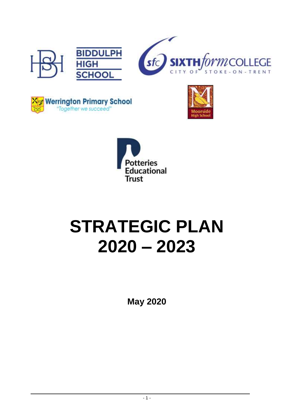







# **STRATEGIC PLAN 2020 – 2023**

**May 2020**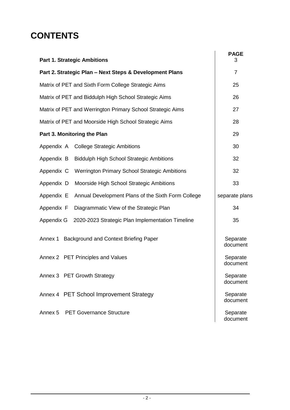# **CONTENTS**

| <b>Part 1. Strategic Ambitions</b>                               | <b>PAGE</b><br>3     |
|------------------------------------------------------------------|----------------------|
| Part 2. Strategic Plan - Next Steps & Development Plans          | $\overline{7}$       |
| Matrix of PET and Sixth Form College Strategic Aims              | 25                   |
| Matrix of PET and Biddulph High School Strategic Aims            | 26                   |
| Matrix of PET and Werrington Primary School Strategic Aims       | 27                   |
| Matrix of PET and Moorside High School Strategic Aims            | 28                   |
| Part 3. Monitoring the Plan                                      | 29                   |
| Appendix A College Strategic Ambitions                           | 30                   |
| Appendix B<br><b>Biddulph High School Strategic Ambitions</b>    | 32                   |
| Appendix C<br>Werrington Primary School Strategic Ambitions      | 32                   |
| Appendix D<br>Moorside High School Strategic Ambitions           | 33                   |
| Appendix E<br>Annual Development Plans of the Sixth Form College | separate plans       |
| Diagrammatic View of the Strategic Plan<br>Appendix F            | 34                   |
| 2020-2023 Strategic Plan Implementation Timeline<br>Appendix G   | 35                   |
| Background and Context Briefing Paper<br>Annex 1                 | Separate<br>document |
| Annex 2 PET Principles and Values                                | Separate<br>document |
| Annex 3 PET Growth Strategy                                      | Separate<br>document |
| Annex 4 PET School Improvement Strategy                          | Separate<br>document |
| Annex 5 PET Governance Structure                                 | Separate<br>document |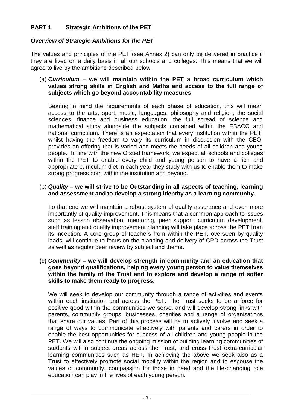# **PART 1 Strategic Ambitions of the PET**

## *Overview of Strategic Ambitions for the PET*

The values and principles of the PET (see Annex 2) can only be delivered in practice if they are lived on a daily basis in all our schools and colleges. This means that we will agree to live by the ambitions described below:

#### (a) *Curriculum* – **we will maintain within the PET a broad curriculum which values strong skills in English and Maths and access to the full range of subjects which go beyond accountability measures**.

Bearing in mind the requirements of each phase of education, this will mean access to the arts, sport, music, languages, philosophy and religion, the social sciences, finance and business education, the full spread of science and mathematical study alongside the subjects contained within the EBACC and national curriculum. There is an expectation that every institution within the PET, whilst having the freedom to vary its curriculum in discussion with the CEO, provides an offering that is varied and meets the needs of all children and young people. In line with the new Ofsted framework, we expect all schools and colleges within the PET to enable every child and young person to have a rich and appropriate curriculum diet in each year they study with us to enable them to make strong progress both within the institution and beyond.

#### (b) *Quality* – **we will strive to be Outstanding in all aspects of teaching, learning and assessment and to develop a strong identity as a learning community.**

To that end we will maintain a robust system of quality assurance and even more importantly of quality improvement. This means that a common approach to issues such as lesson observation, mentoring, peer support, curriculum development, staff training and quality improvement planning will take place across the PET from its inception. A core group of teachers from within the PET, overseen by quality leads, will continue to focus on the planning and delivery of CPD across the Trust as well as regular peer review by subject and theme.

#### **(c)** *Community –* **we will develop strength in community and an education that goes beyond qualifications, helping every young person to value themselves within the family of the Trust and to explore and develop a range of softer skills to make them ready to progress.**

We will seek to develop our community through a range of activities and events within each institution and across the PET. The Trust seeks to be a force for positive good within the communities we serve, and will develop strong links with parents, community groups, businesses, charities and a range of organisations that share our values. Part of this process will be to actively involve and seek a range of ways to communicate effectively with parents and carers in order to enable the best opportunities for success of all children and young people in the PET. We will also continue the ongoing mission of building learning communities of students within subject areas across the Trust, and cross-Trust extra-curricular learning communities such as HE+. In achieving the above we seek also as a Trust to effectively promote social mobility within the region and to espouse the values of community, compassion for those in need and the life-changing role education can play in the lives of each young person.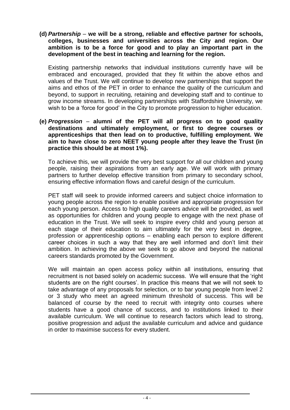**(d)** *Partnership* – **we will be a strong, reliable and effective partner for schools, colleges, businesses and universities across the City and region. Our ambition is to be a force for good and to play an important part in the development of the best in teaching and learning for the region.**

Existing partnership networks that individual institutions currently have will be embraced and encouraged, provided that they fit within the above ethos and values of the Trust. We will continue to develop new partnerships that support the aims and ethos of the PET in order to enhance the quality of the curriculum and beyond, to support in recruiting, retaining and developing staff and to continue to grow income streams. In developing partnerships with Staffordshire University, we wish to be a 'force for good' in the City to promote progression to higher education.

**(e)** *Progression* – **alumni of the PET will all progress on to good quality destinations and ultimately employment, or first to degree courses or apprenticeships that then lead on to productive, fulfilling employment. We aim to have close to zero NEET young people after they leave the Trust (in practice this should be at most 1%).**

To achieve this, we will provide the very best support for all our children and young people, raising their aspirations from an early age. We will work with primary partners to further develop effective transition from primary to secondary school, ensuring effective information flows and careful design of the curriculum.

PET staff will seek to provide informed careers and subject choice information to young people across the region to enable positive and appropriate progression for each young person. Access to high quality careers advice will be provided, as well as opportunities for children and young people to engage with the next phase of education in the Trust. We will seek to inspire every child and young person at each stage of their education to aim ultimately for the very best in degree, profession or apprenticeship options – enabling each person to explore different career choices in such a way that they are well informed and don't limit their ambition. In achieving the above we seek to go above and beyond the national careers standards promoted by the Government.

We will maintain an open access policy within all institutions, ensuring that recruitment is not based solely on academic success. We will ensure that the 'right students are on the right courses'. In practice this means that we will not seek to take advantage of any proposals for selection, or to bar young people from level 2 or 3 study who meet an agreed minimum threshold of success. This will be balanced of course by the need to recruit with integrity onto courses where students have a good chance of success, and to institutions linked to their available curriculum. We will continue to research factors which lead to strong, positive progression and adjust the available curriculum and advice and guidance in order to maximise success for every student.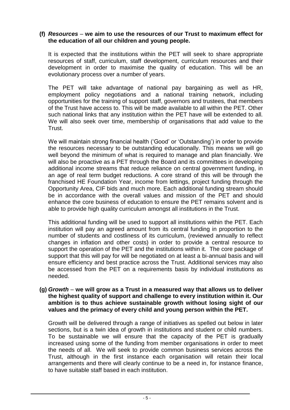#### **(f)** *Resources* – **we aim to use the resources of our Trust to maximum effect for the education of all our children and young people.**

It is expected that the institutions within the PET will seek to share appropriate resources of staff, curriculum, staff development, curriculum resources and their development in order to maximise the quality of education. This will be an evolutionary process over a number of years.

The PET will take advantage of national pay bargaining as well as HR, employment policy negotiations and a national training network, including opportunities for the training of support staff, governors and trustees, that members of the Trust have access to. This will be made available to all within the PET. Other such national links that any institution within the PET have will be extended to all. We will also seek over time, membership of organisations that add value to the **Trust** 

We will maintain strong financial health ('Good' or 'Outstanding') in order to provide the resources necessary to be outstanding educationally. This means we will go well beyond the minimum of what is required to manage and plan financially. We will also be proactive as a PET through the Board and its committees in developing additional income streams that reduce reliance on central government funding, in an age of real term budget reductions. A core strand of this will be through the franchised HE Foundation Year, income from lettings, project funding through the Opportunity Area, CIF bids and much more. Each additional funding stream should be in accordance with the overall values and mission of the PET and should enhance the core business of education to ensure the PET remains solvent and is able to provide high quality curriculum amongst all institutions in the Trust.

This additional funding will be used to support all institutions within the PET. Each institution will pay an agreed amount from its central funding in proportion to the number of students and costliness of its curriculum, (reviewed annually to reflect changes in inflation and other costs) in order to provide a central resource to support the operation of the PET and the institutions within it. The core package of support that this will pay for will be negotiated on at least a bi-annual basis and will ensure efficiency and best practice across the Trust. Additional services may also be accessed from the PET on a requirements basis by individual institutions as needed.

#### **(g)** *Growth* – **we will grow as a Trust in a measured way that allows us to deliver the highest quality of support and challenge to every institution within it. Our ambition is to thus achieve sustainable growth without losing sight of our values and the primacy of every child and young person within the PET.**

Growth will be delivered through a range of initiatives as spelled out below in later sections, but is a twin idea of growth in institutions and student or child numbers. To be sustainable we will ensure that the capacity of the PET is gradually increased using some of the funding from member organisations in order to meet the needs of all. We will seek to provide common business services across the Trust, although in the first instance each organisation will retain their local arrangements and there will clearly continue to be a need in, for instance finance, to have suitable staff based in each institution.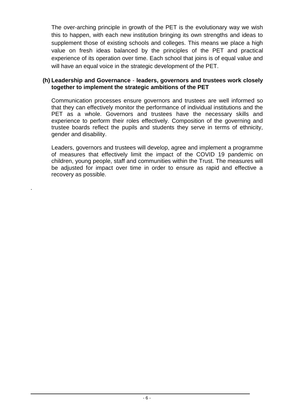The over-arching principle in growth of the PET is the evolutionary way we wish this to happen, with each new institution bringing its own strengths and ideas to supplement those of existing schools and colleges. This means we place a high value on fresh ideas balanced by the principles of the PET and practical experience of its operation over time. Each school that joins is of equal value and will have an equal voice in the strategic development of the PET.

#### **(h) Leadership and Governance** - **leaders, governors and trustees work closely together to implement the strategic ambitions of the PET**

Communication processes ensure governors and trustees are well informed so that they can effectively monitor the performance of individual institutions and the PET as a whole. Governors and trustees have the necessary skills and experience to perform their roles effectively. Composition of the governing and trustee boards reflect the pupils and students they serve in terms of ethnicity, gender and disability.

Leaders, governors and trustees will develop, agree and implement a programme of measures that effectively limit the impact of the COVID 19 pandemic on children, young people, staff and communities within the Trust. The measures will be adjusted for impact over time in order to ensure as rapid and effective a recovery as possible.

.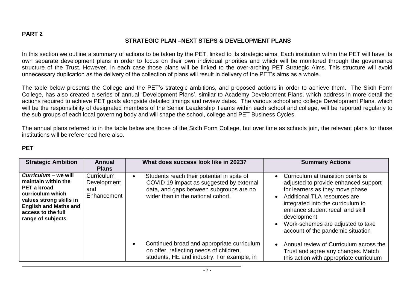## **STRATEGIC PLAN –NEXT STEPS & DEVELOPMENT PLANS**

In this section we outline a summary of actions to be taken by the PET, linked to its strategic aims. Each institution within the PET will have its own separate development plans in order to focus on their own individual priorities and which will be monitored through the governance structure of the Trust. However, in each case those plans will be linked to the over-arching PET Strategic Aims. This structure will avoid unnecessary duplication as the delivery of the collection of plans will result in delivery of the PET's aims as a whole.

The table below presents the College and the PET's strategic ambitions, and proposed actions in order to achieve them. The Sixth Form College, has also created a series of annual 'Development Plans', similar to Academy Development Plans, which address in more detail the actions required to achieve PET goals alongside detailed timings and review dates. The various school and college Development Plans, which will be the responsibility of designated members of the Senior Leadership Teams within each school and college, will be reported regularly to the sub groups of each local governing body and will shape the school, college and PET Business Cycles.

The annual plans referred to in the table below are those of the Sixth Form College, but over time as schools join, the relevant plans for those institutions will be referenced here also.

#### **PET**

| <b>Strategic Ambition</b>                                                                                                                                                            | <b>Annual</b><br><b>Plans</b>                   | What does success look like in 2023?                                                                                                                                                 | <b>Summary Actions</b>                                                                                                                                                                                                                                                                                            |
|--------------------------------------------------------------------------------------------------------------------------------------------------------------------------------------|-------------------------------------------------|--------------------------------------------------------------------------------------------------------------------------------------------------------------------------------------|-------------------------------------------------------------------------------------------------------------------------------------------------------------------------------------------------------------------------------------------------------------------------------------------------------------------|
| Curriculum – we will<br>maintain within the<br>PET a broad<br>curriculum which<br>values strong skills in<br><b>English and Maths and</b><br>access to the full<br>range of subjects | Curriculum<br>Development<br>and<br>Enhancement | Students reach their potential in spite of<br>$\bullet$<br>COVID 19 impact as suggested by external<br>data, and gaps between subgroups are no<br>wider than in the national cohort. | • Curriculum at transition points is<br>adjusted to provide enhanced support<br>for learners as they move phase<br>Additional TLA resources are<br>integrated into the curriculum to<br>enhance student recall and skill<br>development<br>Work-schemes are adjusted to take<br>account of the pandemic situation |
|                                                                                                                                                                                      |                                                 | Continued broad and appropriate curriculum<br>on offer, reflecting needs of children,<br>students, HE and industry. For example, in                                                  | Annual review of Curriculum across the<br>Trust and agree any changes. Match<br>this action with appropriate curriculum                                                                                                                                                                                           |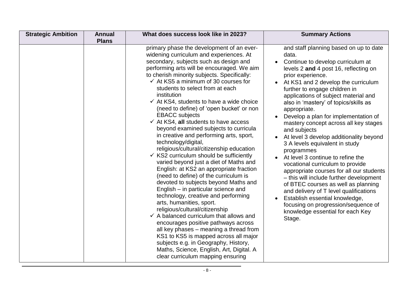| <b>Strategic Ambition</b> | <b>Annual</b><br><b>Plans</b> | What does success look like in 2023?                                                                                                                                                                                                                                                                                                                                                                                                                                                                                                                                                                                                                                                                                                                                                                                                                                                                                                                                                                                                                                                                                                                                                                                                                                                                                                                     | <b>Summary Actions</b>                                                                                                                                                                                                                                                                                                                                                                                                                                                                                                                                                                                                                                                                                                                                                                                                                                                                          |
|---------------------------|-------------------------------|----------------------------------------------------------------------------------------------------------------------------------------------------------------------------------------------------------------------------------------------------------------------------------------------------------------------------------------------------------------------------------------------------------------------------------------------------------------------------------------------------------------------------------------------------------------------------------------------------------------------------------------------------------------------------------------------------------------------------------------------------------------------------------------------------------------------------------------------------------------------------------------------------------------------------------------------------------------------------------------------------------------------------------------------------------------------------------------------------------------------------------------------------------------------------------------------------------------------------------------------------------------------------------------------------------------------------------------------------------|-------------------------------------------------------------------------------------------------------------------------------------------------------------------------------------------------------------------------------------------------------------------------------------------------------------------------------------------------------------------------------------------------------------------------------------------------------------------------------------------------------------------------------------------------------------------------------------------------------------------------------------------------------------------------------------------------------------------------------------------------------------------------------------------------------------------------------------------------------------------------------------------------|
|                           |                               | primary phase the development of an ever-<br>widening curriculum and experiences. At<br>secondary, subjects such as design and<br>performing arts will be encouraged. We aim<br>to cherish minority subjects. Specifically:<br>$\checkmark$ At KS5 a minimum of 30 courses for<br>students to select from at each<br>institution<br>$\checkmark$ At KS4, students to have a wide choice<br>(need to define) of 'open bucket' or non<br><b>EBACC</b> subjects<br>$\checkmark$ At KS4, all students to have access<br>beyond examined subjects to curricula<br>in creative and performing arts, sport,<br>technology/digital,<br>religious/cultural/citizenship education<br>$\checkmark$ KS2 curriculum should be sufficiently<br>varied beyond just a diet of Maths and<br>English: at KS2 an appropriate fraction<br>(need to define) of the curriculum is<br>devoted to subjects beyond Maths and<br>English – in particular science and<br>technology, creative and performing<br>arts, humanities, sport.<br>religious/cultural/citizenship<br>$\checkmark$ A balanced curriculum that allows and<br>encourages positive pathways across<br>all key phases – meaning a thread from<br>KS1 to KS5 is mapped across all major<br>subjects e.g. in Geography, History,<br>Maths, Science, English, Art, Digital. A<br>clear curriculum mapping ensuring | and staff planning based on up to date<br>data.<br>Continue to develop curriculum at<br>levels 2 and 4 post 16, reflecting on<br>prior experience.<br>At KS1 and 2 develop the curriculum<br>further to engage children in<br>applications of subject material and<br>also in 'mastery' of topics/skills as<br>appropriate.<br>Develop a plan for implementation of<br>mastery concept across all key stages<br>and subjects<br>At level 3 develop additionality beyond<br>3 A levels equivalent in study<br>programmes<br>At level 3 continue to refine the<br>vocational curriculum to provide<br>appropriate courses for all our students<br>- this will include further development<br>of BTEC courses as well as planning<br>and delivery of T level qualifications<br>Establish essential knowledge,<br>focusing on progression/sequence of<br>knowledge essential for each Key<br>Stage. |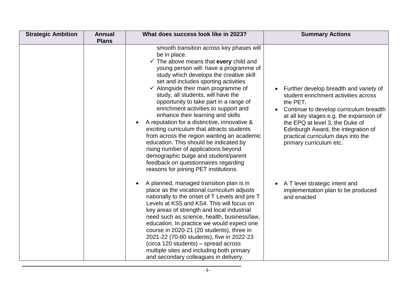| <b>Strategic Ambition</b> | <b>Annual</b><br><b>Plans</b> | What does success look like in 2023?                                                                                                                                                                                                                                                                                                                                                                                                                                                                                                                                                                                                                                                                                                                                                                                          | <b>Summary Actions</b>                                                                                                                                                                                                                                                                                                     |
|---------------------------|-------------------------------|-------------------------------------------------------------------------------------------------------------------------------------------------------------------------------------------------------------------------------------------------------------------------------------------------------------------------------------------------------------------------------------------------------------------------------------------------------------------------------------------------------------------------------------------------------------------------------------------------------------------------------------------------------------------------------------------------------------------------------------------------------------------------------------------------------------------------------|----------------------------------------------------------------------------------------------------------------------------------------------------------------------------------------------------------------------------------------------------------------------------------------------------------------------------|
|                           |                               | smooth transition across key phases will<br>be in place.<br>$\checkmark$ The above means that every child and<br>young person will: have a programme of<br>study which develops the creative skill<br>set and includes sporting activities<br>$\checkmark$ Alongside their main programme of<br>study, all students, will have the<br>opportunity to take part in a range of<br>enrichment activities to support and<br>enhance their learning and skills<br>A reputation for a distinctive, innovative &<br>$\bullet$<br>exciting curriculum that attracts students<br>from across the region wanting an academic<br>education. This should be indicated by<br>rising number of applications beyond<br>demographic bulge and student/parent<br>feedback on questionnaires regarding<br>reasons for joining PET institutions. | Further develop breadth and variety of<br>student enrichment activities across<br>the PET.<br>Continue to develop curriculum breadth<br>at all key stages e.g. the expansion of<br>the EPQ at level 3, the Duke of<br>Edinburgh Award, the integration of<br>practical curriculum days into the<br>primary curriculum etc. |
|                           |                               | A planned, managed transition plan is in<br>$\bullet$<br>place as the vocational curriculum adjusts<br>nationally to the onset of T Levels and pre T<br>Levels at KS5 and KS4. This will focus on<br>key areas of strength and local industrial<br>need such as science, health, business/law,<br>education. In practice we would expect one<br>course in 2020-21 (20 students), three in<br>2021-22 (70-80 students), five in 2022-23<br>(circa 120 students) – spread across<br>multiple sites and including both primary<br>and secondary colleagues in delivery.                                                                                                                                                                                                                                                          | A T level strategic intent and<br>implementation plan to be produced<br>and enacted                                                                                                                                                                                                                                        |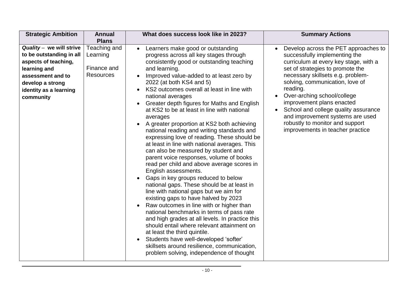| <b>Strategic Ambition</b>                                                                                                                                                    | <b>Annual</b>                                                               | What does success look like in 2023?                                                                                                                                                                                                                                                                                                                                                                                                                                                                                                                                                                                                                                                                                                                                                                                                                 | <b>Summary Actions</b>                                                                                                                                                                                                                                                                                                                                                                                            |
|------------------------------------------------------------------------------------------------------------------------------------------------------------------------------|-----------------------------------------------------------------------------|------------------------------------------------------------------------------------------------------------------------------------------------------------------------------------------------------------------------------------------------------------------------------------------------------------------------------------------------------------------------------------------------------------------------------------------------------------------------------------------------------------------------------------------------------------------------------------------------------------------------------------------------------------------------------------------------------------------------------------------------------------------------------------------------------------------------------------------------------|-------------------------------------------------------------------------------------------------------------------------------------------------------------------------------------------------------------------------------------------------------------------------------------------------------------------------------------------------------------------------------------------------------------------|
| Quality - we will strive<br>to be outstanding in all<br>aspects of teaching,<br>learning and<br>assessment and to<br>develop a strong<br>identity as a learning<br>community | <b>Plans</b><br>Teaching and<br>Learning<br>Finance and<br><b>Resources</b> | Learners make good or outstanding<br>$\bullet$<br>progress across all key stages through<br>consistently good or outstanding teaching<br>and learning.<br>Improved value-added to at least zero by<br>2022 (at both KS4 and 5)<br>KS2 outcomes overall at least in line with<br>national averages<br>Greater depth figures for Maths and English<br>$\bullet$<br>at KS2 to be at least in line with national<br>averages<br>A greater proportion at KS2 both achieving                                                                                                                                                                                                                                                                                                                                                                               | Develop across the PET approaches to<br>successfully implementing the<br>curriculum at every key stage, with a<br>set of strategies to promote the<br>necessary skillsets e.g. problem-<br>solving, communication, love of<br>reading.<br>Over-arching school/college<br>improvement plans enacted<br>School and college quality assurance<br>and improvement systems are used<br>robustly to monitor and support |
|                                                                                                                                                                              |                                                                             | national reading and writing standards and<br>expressing love of reading. These should be<br>at least in line with national averages. This<br>can also be measured by student and<br>parent voice responses, volume of books<br>read per child and above average scores in<br>English assessments.<br>Gaps in key groups reduced to below<br>national gaps. These should be at least in<br>line with national gaps but we aim for<br>existing gaps to have halved by 2023<br>Raw outcomes in line with or higher than<br>national benchmarks in terms of pass rate<br>and high grades at all levels. In practice this<br>should entail where relevant attainment on<br>at least the third quintile.<br>Students have well-developed 'softer'<br>$\bullet$<br>skillsets around resilience, communication,<br>problem solving, independence of thought | improvements in teacher practice                                                                                                                                                                                                                                                                                                                                                                                  |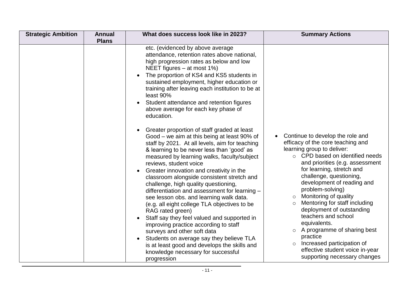| etc. (evidenced by above average<br>attendance, retention rates above national,<br>high progression rates as below and low<br>NEET figures $-$ at most 1%)<br>The proportion of KS4 and KS5 students in<br>sustained employment, higher education or<br>training after leaving each institution to be at<br>least 90% |                                       |
|-----------------------------------------------------------------------------------------------------------------------------------------------------------------------------------------------------------------------------------------------------------------------------------------------------------------------|---------------------------------------|
| Student attendance and retention figures                                                                                                                                                                                                                                                                              | Continue to develop the role and      |
| above average for each key phase of                                                                                                                                                                                                                                                                                   | efficacy of the core teaching and     |
| education.                                                                                                                                                                                                                                                                                                            | learning group to deliver:            |
| Greater proportion of staff graded at least                                                                                                                                                                                                                                                                           | $\circ$ CPD based on identified needs |
| Good – we aim at this being at least 90% of                                                                                                                                                                                                                                                                           | and priorities (e.g. assessment       |
| staff by 2021. At all levels, aim for teaching                                                                                                                                                                                                                                                                        | for learning, stretch and             |
| & learning to be never less than 'good' as                                                                                                                                                                                                                                                                            | challenge, questioning,               |
| measured by learning walks, faculty/subject                                                                                                                                                                                                                                                                           | development of reading and            |
| reviews, student voice                                                                                                                                                                                                                                                                                                | problem-solving)                      |
| Greater innovation and creativity in the                                                                                                                                                                                                                                                                              | Monitoring of quality                 |
| classroom alongside consistent stretch and                                                                                                                                                                                                                                                                            | $\circ$                               |
| challenge, high quality questioning,                                                                                                                                                                                                                                                                                  | Mentoring for staff including         |
| differentiation and assessment for learning -                                                                                                                                                                                                                                                                         | $\circ$                               |
| see lesson obs. and learning walk data.                                                                                                                                                                                                                                                                               | deployment of outstanding             |
| (e.g. all eight college TLA objectives to be                                                                                                                                                                                                                                                                          | teachers and school                   |
| RAG rated green)                                                                                                                                                                                                                                                                                                      | equivalents.                          |
| Staff say they feel valued and supported in                                                                                                                                                                                                                                                                           | A programme of sharing best           |
| improving practice according to staff                                                                                                                                                                                                                                                                                 | $\circ$                               |
| surveys and other soft data                                                                                                                                                                                                                                                                                           | practice                              |
| Students on average say they believe TLA                                                                                                                                                                                                                                                                              | Increased participation of            |
| is at least good and develops the skills and                                                                                                                                                                                                                                                                          | $\circ$                               |
| knowledge necessary for successful                                                                                                                                                                                                                                                                                    | effective student voice in-year       |
| progression                                                                                                                                                                                                                                                                                                           | supporting necessary changes          |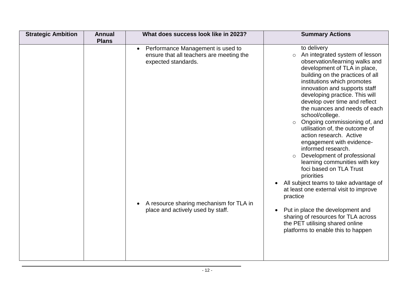| <b>Strategic Ambition</b><br><b>Annual</b><br><b>Plans</b> | What does success look like in 2023?                                                                                                                                                              |                                           | <b>Summary Actions</b>                                                                                                                                                                                                                                                                                                                                                                                                                                                                                                                                                                                                                                                                                                                                                                                                                       |
|------------------------------------------------------------|---------------------------------------------------------------------------------------------------------------------------------------------------------------------------------------------------|-------------------------------------------|----------------------------------------------------------------------------------------------------------------------------------------------------------------------------------------------------------------------------------------------------------------------------------------------------------------------------------------------------------------------------------------------------------------------------------------------------------------------------------------------------------------------------------------------------------------------------------------------------------------------------------------------------------------------------------------------------------------------------------------------------------------------------------------------------------------------------------------------|
|                                                            | Performance Management is used to<br>$\bullet$<br>ensure that all teachers are meeting the<br>expected standards.<br>A resource sharing mechanism for TLA in<br>place and actively used by staff. | $\circ$<br>$\circ$<br>$\circ$<br>practice | to delivery<br>An integrated system of lesson<br>observation/learning walks and<br>development of TLA in place,<br>building on the practices of all<br>institutions which promotes<br>innovation and supports staff<br>developing practice. This will<br>develop over time and reflect<br>the nuances and needs of each<br>school/college.<br>Ongoing commissioning of, and<br>utilisation of, the outcome of<br>action research. Active<br>engagement with evidence-<br>informed research.<br>Development of professional<br>learning communities with key<br>foci based on TLA Trust<br>priorities<br>All subject teams to take advantage of<br>at least one external visit to improve<br>Put in place the development and<br>sharing of resources for TLA across<br>the PET utilising shared online<br>platforms to enable this to happen |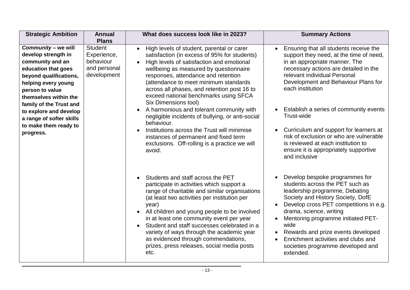| <b>Strategic Ambition</b>                                                                                                                                                                                                                                                                                 | <b>Annual</b><br><b>Plans</b>                                             | What does success look like in 2023?                                                                                                                                                                                                                                                                                                                                                                                                                                                                                                                                                                                                                                               | <b>Summary Actions</b>                                                                                                                                                                                                                                                                                                                                                                                                                                                                                |
|-----------------------------------------------------------------------------------------------------------------------------------------------------------------------------------------------------------------------------------------------------------------------------------------------------------|---------------------------------------------------------------------------|------------------------------------------------------------------------------------------------------------------------------------------------------------------------------------------------------------------------------------------------------------------------------------------------------------------------------------------------------------------------------------------------------------------------------------------------------------------------------------------------------------------------------------------------------------------------------------------------------------------------------------------------------------------------------------|-------------------------------------------------------------------------------------------------------------------------------------------------------------------------------------------------------------------------------------------------------------------------------------------------------------------------------------------------------------------------------------------------------------------------------------------------------------------------------------------------------|
| Community - we will<br>develop strength in<br>community and an<br>education that goes<br>beyond qualifications,<br>helping every young<br>person to value<br>themselves within the<br>family of the Trust and<br>to explore and develop<br>a range of softer skills<br>to make them ready to<br>progress. | <b>Student</b><br>Experience,<br>behaviour<br>and personal<br>development | High levels of student, parental or carer<br>$\bullet$<br>satisfaction (in excess of 95% for students)<br>High levels of satisfaction and emotional<br>$\bullet$<br>wellbeing as measured by questionnaire<br>responses, attendance and retention<br>(attendance to meet minimum standards<br>across all phases, and retention post 16 to<br>exceed national benchmarks using SFCA<br><b>Six Dimensions tool)</b><br>A harmonious and tolerant community with<br>negligible incidents of bullying, or anti-social<br>behaviour.<br>Institutions across the Trust will minimise<br>instances of permanent and fixed term<br>exclusions. Off-rolling is a practice we will<br>avoid. | Ensuring that all students receive the<br>support they need, at the time of need,<br>in an appropriate manner. The<br>necessary actions are detailed in the<br>relevant individual Personal<br>Development and Behaviour Plans for<br>each institution<br>• Establish a series of community events<br>Trust-wide<br>Curriculum and support for learners at<br>risk of exclusion or who are vulnerable<br>is reviewed at each institution to<br>ensure it is appropriately supportive<br>and inclusive |
|                                                                                                                                                                                                                                                                                                           |                                                                           | Students and staff across the PET<br>participate in activities which support a<br>range of charitable and similar organisations<br>(at least two activities per institution per<br>year)<br>All children and young people to be involved<br>in at least one community event per year<br>Student and staff successes celebrated in a<br>variety of ways through the academic year<br>as evidenced through commendations,<br>prizes, press releases, social media posts<br>etc.                                                                                                                                                                                                      | Develop bespoke programmes for<br>students across the PET such as<br>leadership programme, Debating<br>Society and History Society, DofE<br>Develop cross PET competitions in e.g.<br>drama, science, writing<br>Mentoring programme initiated PET-<br>wide<br>Rewards and prize events developed<br>Enrichment activities and clubs and<br>societies programme developed and<br>extended.                                                                                                            |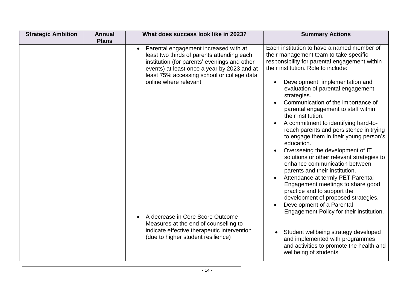| <b>Strategic Ambition</b> | <b>Annual</b><br><b>Plans</b> | What does success look like in 2023?                                                                                                                                                                                                                                                                                                                                                                                        | <b>Summary Actions</b>                                                                                                                                                                                                                                                                                                                                                                                                                                                                                                                                                                                                                                                                                                                                                                                                                                                                                                                                                                                                                                                                                          |
|---------------------------|-------------------------------|-----------------------------------------------------------------------------------------------------------------------------------------------------------------------------------------------------------------------------------------------------------------------------------------------------------------------------------------------------------------------------------------------------------------------------|-----------------------------------------------------------------------------------------------------------------------------------------------------------------------------------------------------------------------------------------------------------------------------------------------------------------------------------------------------------------------------------------------------------------------------------------------------------------------------------------------------------------------------------------------------------------------------------------------------------------------------------------------------------------------------------------------------------------------------------------------------------------------------------------------------------------------------------------------------------------------------------------------------------------------------------------------------------------------------------------------------------------------------------------------------------------------------------------------------------------|
|                           |                               | Parental engagement increased with at<br>least two thirds of parents attending each<br>institution (for parents' evenings and other<br>events) at least once a year by 2023 and at<br>least 75% accessing school or college data<br>online where relevant<br>A decrease in Core Score Outcome<br>Measures at the end of counselling to<br>indicate effective therapeutic intervention<br>(due to higher student resilience) | Each institution to have a named member of<br>their management team to take specific<br>responsibility for parental engagement within<br>their institution. Role to include:<br>Development, implementation and<br>$\bullet$<br>evaluation of parental engagement<br>strategies.<br>Communication of the importance of<br>$\bullet$<br>parental engagement to staff within<br>their institution.<br>A commitment to identifying hard-to-<br>$\bullet$<br>reach parents and persistence in trying<br>to engage them in their young person's<br>education.<br>Overseeing the development of IT<br>solutions or other relevant strategies to<br>enhance communication between<br>parents and their institution.<br>Attendance at termly PET Parental<br>$\bullet$<br>Engagement meetings to share good<br>practice and to support the<br>development of proposed strategies.<br>Development of a Parental<br>$\bullet$<br>Engagement Policy for their institution.<br>Student wellbeing strategy developed<br>and implemented with programmes<br>and activities to promote the health and<br>wellbeing of students |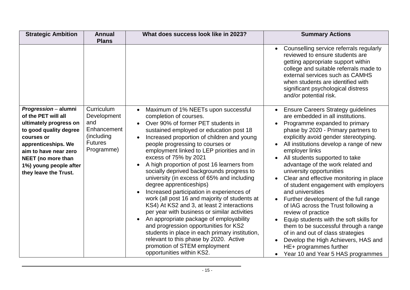| <b>Strategic Ambition</b>                                                                                                                                                                                                              | <b>Annual</b><br><b>Plans</b>                                                                         | What does success look like in 2023?                                                                                                                                                                                                                                                                                                                                                                                                                                                                                                                                                                                                                                                                                                                                                                                                                                                                                                           | <b>Summary Actions</b>                                                                                                                                                                                                                                                                                                                                                                                                                                                                                                                                                                                                                                                                                                                                                                                                   |
|----------------------------------------------------------------------------------------------------------------------------------------------------------------------------------------------------------------------------------------|-------------------------------------------------------------------------------------------------------|------------------------------------------------------------------------------------------------------------------------------------------------------------------------------------------------------------------------------------------------------------------------------------------------------------------------------------------------------------------------------------------------------------------------------------------------------------------------------------------------------------------------------------------------------------------------------------------------------------------------------------------------------------------------------------------------------------------------------------------------------------------------------------------------------------------------------------------------------------------------------------------------------------------------------------------------|--------------------------------------------------------------------------------------------------------------------------------------------------------------------------------------------------------------------------------------------------------------------------------------------------------------------------------------------------------------------------------------------------------------------------------------------------------------------------------------------------------------------------------------------------------------------------------------------------------------------------------------------------------------------------------------------------------------------------------------------------------------------------------------------------------------------------|
|                                                                                                                                                                                                                                        |                                                                                                       |                                                                                                                                                                                                                                                                                                                                                                                                                                                                                                                                                                                                                                                                                                                                                                                                                                                                                                                                                | Counselling service referrals regularly<br>$\bullet$<br>reviewed to ensure students are<br>getting appropriate support within<br>college and suitable referrals made to<br>external services such as CAMHS<br>when students are identified with<br>significant psychological distress<br>and/or potential risk.                                                                                                                                                                                                                                                                                                                                                                                                                                                                                                          |
| Progression - alumni<br>of the PET will all<br>ultimately progress on<br>to good quality degree<br>courses or<br>apprenticeships. We<br>aim to have near zero<br>NEET (no more than<br>1%) young people after<br>they leave the Trust. | <b>Curriculum</b><br>Development<br>and<br>Enhancement<br>(including)<br><b>Futures</b><br>Programme) | Maximum of 1% NEETs upon successful<br>$\bullet$<br>completion of courses.<br>Over 90% of former PET students in<br>sustained employed or education post 18<br>Increased proportion of children and young<br>$\bullet$<br>people progressing to courses or<br>employment linked to LEP priorities and in<br>excess of 75% by 2021<br>A high proportion of post 16 learners from<br>socially deprived backgrounds progress to<br>university (in excess of 65% and including<br>degree apprenticeships)<br>Increased participation in experiences of<br>work (all post 16 and majority of students at<br>KS4) At KS2 and 3, at least 2 interactions<br>per year with business or similar activities<br>An appropriate package of employability<br>and progression opportunities for KS2<br>students in place in each primary institution,<br>relevant to this phase by 2020. Active<br>promotion of STEM employment<br>opportunities within KS2. | <b>Ensure Careers Strategy guidelines</b><br>are embedded in all institutions.<br>Programme expanded to primary<br>phase by 2020 - Primary partners to<br>explicitly avoid gender stereotyping.<br>All institutions develop a range of new<br>employer links<br>All students supported to take<br>advantage of the work related and<br>university opportunities<br>Clear and effective monitoring in place<br>of student engagement with employers<br>and universities<br>Further development of the full range<br>of IAG across the Trust following a<br>review of practice<br>Equip students with the soft skills for<br>$\bullet$<br>them to be successful through a range<br>of in and out of class strategies<br>Develop the High Achievers, HAS and<br>HE+ programmes further<br>Year 10 and Year 5 HAS programmes |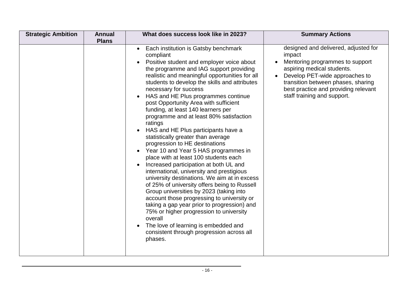| <b>Strategic Ambition</b> | <b>Annual</b><br><b>Plans</b> | What does success look like in 2023?                                                                                                                                                                                                                                                                                                                                                                                                                                                                                                                                                                                                                                                                                                                                                                                                                                                                                                                                                                                                                                                                                                                             | <b>Summary Actions</b>                                                                                                                                                                                                                                         |
|---------------------------|-------------------------------|------------------------------------------------------------------------------------------------------------------------------------------------------------------------------------------------------------------------------------------------------------------------------------------------------------------------------------------------------------------------------------------------------------------------------------------------------------------------------------------------------------------------------------------------------------------------------------------------------------------------------------------------------------------------------------------------------------------------------------------------------------------------------------------------------------------------------------------------------------------------------------------------------------------------------------------------------------------------------------------------------------------------------------------------------------------------------------------------------------------------------------------------------------------|----------------------------------------------------------------------------------------------------------------------------------------------------------------------------------------------------------------------------------------------------------------|
|                           |                               | Each institution is Gatsby benchmark<br>$\bullet$<br>compliant<br>Positive student and employer voice about<br>the programme and IAG support providing<br>realistic and meaningful opportunities for all<br>students to develop the skills and attributes<br>necessary for success<br>HAS and HE Plus programmes continue<br>post Opportunity Area with sufficient<br>funding, at least 140 learners per<br>programme and at least 80% satisfaction<br>ratings<br>HAS and HE Plus participants have a<br>statistically greater than average<br>progression to HE destinations<br>Year 10 and Year 5 HAS programmes in<br>$\bullet$<br>place with at least 100 students each<br>Increased participation at both UL and<br>international, university and prestigious<br>university destinations. We aim at in excess<br>of 25% of university offers being to Russell<br>Group universities by 2023 (taking into<br>account those progressing to university or<br>taking a gap year prior to progression) and<br>75% or higher progression to university<br>overall<br>The love of learning is embedded and<br>consistent through progression across all<br>phases. | designed and delivered, adjusted for<br>impact<br>Mentoring programmes to support<br>aspiring medical students.<br>Develop PET-wide approaches to<br>transition between phases, sharing<br>best practice and providing relevant<br>staff training and support. |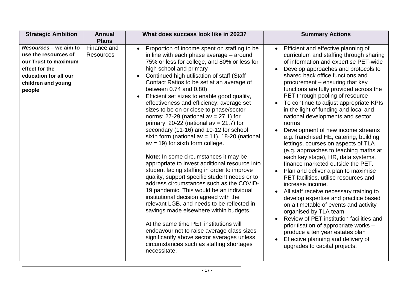| <b>Strategic Ambition</b>                                                                                                                        | <b>Annual</b>                   | What does success look like in 2023?                                                                                                                                                                                                                                                                                                                                                                                                                                                                                                                                                                                                                                                                                                                                                                                                                                                                                                                                                                                                                                                                                                                                                                                                                                                                               | <b>Summary Actions</b>                                                                                                                                                                                                                                                                                                                                                                                                                                                                                                                                                                                                                                                                                                                                                                                                                                                                                                                                                                                                                                                                                                                                             |
|--------------------------------------------------------------------------------------------------------------------------------------------------|---------------------------------|--------------------------------------------------------------------------------------------------------------------------------------------------------------------------------------------------------------------------------------------------------------------------------------------------------------------------------------------------------------------------------------------------------------------------------------------------------------------------------------------------------------------------------------------------------------------------------------------------------------------------------------------------------------------------------------------------------------------------------------------------------------------------------------------------------------------------------------------------------------------------------------------------------------------------------------------------------------------------------------------------------------------------------------------------------------------------------------------------------------------------------------------------------------------------------------------------------------------------------------------------------------------------------------------------------------------|--------------------------------------------------------------------------------------------------------------------------------------------------------------------------------------------------------------------------------------------------------------------------------------------------------------------------------------------------------------------------------------------------------------------------------------------------------------------------------------------------------------------------------------------------------------------------------------------------------------------------------------------------------------------------------------------------------------------------------------------------------------------------------------------------------------------------------------------------------------------------------------------------------------------------------------------------------------------------------------------------------------------------------------------------------------------------------------------------------------------------------------------------------------------|
|                                                                                                                                                  | <b>Plans</b>                    |                                                                                                                                                                                                                                                                                                                                                                                                                                                                                                                                                                                                                                                                                                                                                                                                                                                                                                                                                                                                                                                                                                                                                                                                                                                                                                                    |                                                                                                                                                                                                                                                                                                                                                                                                                                                                                                                                                                                                                                                                                                                                                                                                                                                                                                                                                                                                                                                                                                                                                                    |
| Resources – we aim to<br>use the resources of<br>our Trust to maximum<br>effect for the<br>education for all our<br>children and young<br>people | Finance and<br><b>Resources</b> | Proportion of income spent on staffing to be<br>$\bullet$<br>in line with each phase average - around<br>75% or less for college, and 80% or less for<br>high school and primary<br>Continued high utilisation of staff (Staff<br>Contact Ratios to be set at an average of<br>between 0.74 and 0.80)<br>Efficient set sizes to enable good quality,<br>$\bullet$<br>effectiveness and efficiency: average set<br>sizes to be on or close to phase/sector<br>norms: $27-29$ (national av = $27.1$ ) for<br>primary, 20-22 (national $av = 21.7$ ) for<br>secondary (11-16) and 10-12 for school<br>sixth form (national $av = 11$ ), 18-20 (national<br>$av = 19$ ) for sixth form college.<br>Note: In some circumstances it may be<br>appropriate to invest additional resource into<br>student facing staffing in order to improve<br>quality, support specific student needs or to<br>address circumstances such as the COVID-<br>19 pandemic. This would be an individual<br>institutional decision agreed with the<br>relevant LGB, and needs to be reflected in<br>savings made elsewhere within budgets.<br>At the same time PET institutions will<br>endeavour not to raise average class sizes<br>significantly above sector averages unless<br>circumstances such as staffing shortages<br>necessitate. | Efficient and effective planning of<br>curriculum and staffing through sharing<br>of information and expertise PET-wide<br>Develop approaches and protocols to<br>shared back office functions and<br>procurement – ensuring that key<br>functions are fully provided across the<br>PET through pooling of resource<br>To continue to adjust appropriate KPIs<br>$\bullet$<br>in the light of funding and local and<br>national developments and sector<br>norms<br>Development of new income streams<br>e.g. franchised HE, catering, building<br>lettings, courses on aspects of TLA<br>(e.g. approaches to teaching maths at<br>each key stage), HR, data systems,<br>finance marketed outside the PET.<br>Plan and deliver a plan to maximise<br>PET facilities, utilise resources and<br>increase income.<br>All staff receive necessary training to<br>develop expertise and practice based<br>on a timetable of events and activity<br>organised by TLA team<br>Review of PET institution facilities and<br>prioritisation of appropriate works -<br>produce a ten year estates plan<br>Effective planning and delivery of<br>upgrades to capital projects. |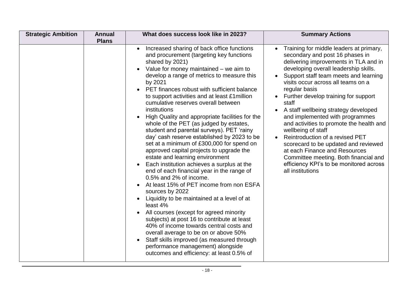| <b>Strategic Ambition</b> | <b>Annual</b><br><b>Plans</b> | What does success look like in 2023?                                                                                                                                                                                                                                                                                                                                                                                                                                                                                                                                                                                                                                                                                                                                                                                                                                                                                                                                                                                                                                                                                                                                                                                                                    | <b>Summary Actions</b>                                                                                                                                                                                                                                                                                                                                                                                                                                                                                                                                                                                                                                                         |
|---------------------------|-------------------------------|---------------------------------------------------------------------------------------------------------------------------------------------------------------------------------------------------------------------------------------------------------------------------------------------------------------------------------------------------------------------------------------------------------------------------------------------------------------------------------------------------------------------------------------------------------------------------------------------------------------------------------------------------------------------------------------------------------------------------------------------------------------------------------------------------------------------------------------------------------------------------------------------------------------------------------------------------------------------------------------------------------------------------------------------------------------------------------------------------------------------------------------------------------------------------------------------------------------------------------------------------------|--------------------------------------------------------------------------------------------------------------------------------------------------------------------------------------------------------------------------------------------------------------------------------------------------------------------------------------------------------------------------------------------------------------------------------------------------------------------------------------------------------------------------------------------------------------------------------------------------------------------------------------------------------------------------------|
|                           |                               | Increased sharing of back office functions<br>and procurement (targeting key functions<br>shared by 2021)<br>Value for money maintained – we aim to<br>develop a range of metrics to measure this<br>by 2021<br>PET finances robust with sufficient balance<br>to support activities and at least £1 million<br>cumulative reserves overall between<br>institutions<br>High Quality and appropriate facilities for the<br>whole of the PET (as judged by estates,<br>student and parental surveys). PET 'rainy<br>day' cash reserve established by 2023 to be<br>set at a minimum of £300,000 for spend on<br>approved capital projects to upgrade the<br>estate and learning environment<br>Each institution achieves a surplus at the<br>end of each financial year in the range of<br>0.5% and 2% of income.<br>At least 15% of PET income from non ESFA<br>sources by 2022<br>Liquidity to be maintained at a level of at<br>least 4%<br>All courses (except for agreed minority<br>subjects) at post 16 to contribute at least<br>40% of income towards central costs and<br>overall average to be on or above 50%<br>Staff skills improved (as measured through<br>performance management) alongside<br>outcomes and efficiency: at least 0.5% of | Training for middle leaders at primary,<br>secondary and post 16 phases in<br>delivering improvements in TLA and in<br>developing overall leadership skills.<br>Support staff team meets and learning<br>visits occur across all teams on a<br>regular basis<br>Further develop training for support<br>staff<br>A staff wellbeing strategy developed<br>and implemented with programmes<br>and activities to promote the health and<br>wellbeing of staff<br>Reintroduction of a revised PET<br>scorecard to be updated and reviewed<br>at each Finance and Resources<br>Committee meeting. Both financial and<br>efficiency KPI's to be monitored across<br>all institutions |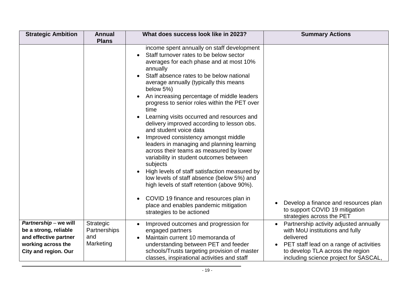| <b>Strategic Ambition</b>                                                                                                    | <b>Annual</b><br><b>Plans</b>                 | What does success look like in 2023?                                                                                                                                                                                                                                                                                                                                                                                                                                                                                                                                                                                                                                                                                                                                                                                                                                                                                                | <b>Summary Actions</b>                                                                                                                                                                                                      |
|------------------------------------------------------------------------------------------------------------------------------|-----------------------------------------------|-------------------------------------------------------------------------------------------------------------------------------------------------------------------------------------------------------------------------------------------------------------------------------------------------------------------------------------------------------------------------------------------------------------------------------------------------------------------------------------------------------------------------------------------------------------------------------------------------------------------------------------------------------------------------------------------------------------------------------------------------------------------------------------------------------------------------------------------------------------------------------------------------------------------------------------|-----------------------------------------------------------------------------------------------------------------------------------------------------------------------------------------------------------------------------|
|                                                                                                                              |                                               | income spent annually on staff development<br>Staff turnover rates to be below sector<br>averages for each phase and at most 10%<br>annually<br>Staff absence rates to be below national<br>average annually (typically this means<br>below $5\%$ )<br>An increasing percentage of middle leaders<br>progress to senior roles within the PET over<br>time<br>Learning visits occurred and resources and<br>delivery improved according to lesson obs.<br>and student voice data<br>Improved consistency amongst middle<br>leaders in managing and planning learning<br>across their teams as measured by lower<br>variability in student outcomes between<br>subjects<br>High levels of staff satisfaction measured by<br>low levels of staff absence (below 5%) and<br>high levels of staff retention (above 90%).<br>COVID 19 finance and resources plan in<br>place and enables pandemic mitigation<br>strategies to be actioned | Develop a finance and resources plan<br>to support COVID 19 mitigation<br>strategies across the PET                                                                                                                         |
| Partnership - we will<br>be a strong, reliable<br>and effective partner<br>working across the<br><b>City and region. Our</b> | Strategic<br>Partnerships<br>and<br>Marketing | Improved outcomes and progression for<br>engaged partners<br>Maintain current 10 memoranda of<br>understanding between PET and feeder<br>schools/Trusts targeting provision of master<br>classes, inspirational activities and staff                                                                                                                                                                                                                                                                                                                                                                                                                                                                                                                                                                                                                                                                                                | Partnership activity adjusted annually<br>$\bullet$<br>with MoU institutions and fully<br>delivered<br>PET staff lead on a range of activities<br>to develop TLA across the region<br>including science project for SASCAL, |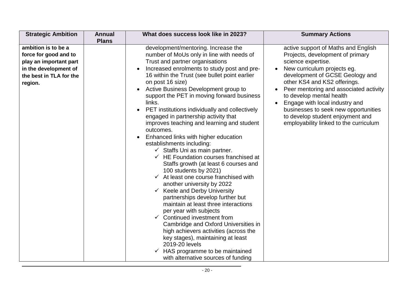| <b>Strategic Ambition</b>                                                                                                             | <b>Annual</b> | What does success look like in 2023?                                                                                                                                                                                                                                                                                                                                                                                                                                                                                                                                                                                                                                                                                                                                                                                                                                                                                                                                                                                                                                                                                                                                                                                              | <b>Summary Actions</b>                                                                                                                                                                                                                                                                                                                                                                                                        |
|---------------------------------------------------------------------------------------------------------------------------------------|---------------|-----------------------------------------------------------------------------------------------------------------------------------------------------------------------------------------------------------------------------------------------------------------------------------------------------------------------------------------------------------------------------------------------------------------------------------------------------------------------------------------------------------------------------------------------------------------------------------------------------------------------------------------------------------------------------------------------------------------------------------------------------------------------------------------------------------------------------------------------------------------------------------------------------------------------------------------------------------------------------------------------------------------------------------------------------------------------------------------------------------------------------------------------------------------------------------------------------------------------------------|-------------------------------------------------------------------------------------------------------------------------------------------------------------------------------------------------------------------------------------------------------------------------------------------------------------------------------------------------------------------------------------------------------------------------------|
| ambition is to be a<br>force for good and to<br>play an important part<br>in the development of<br>the best in TLA for the<br>region. | <b>Plans</b>  | development/mentoring. Increase the<br>number of MoUs only in line with needs of<br>Trust and partner organisations<br>Increased enrolments to study post and pre-<br>16 within the Trust (see bullet point earlier<br>on post 16 size)<br>Active Business Development group to<br>support the PET in moving forward business<br>links.<br>PET institutions individually and collectively<br>engaged in partnership activity that<br>improves teaching and learning and student<br>outcomes.<br>Enhanced links with higher education<br>establishments including:<br>$\checkmark$ Staffs Uni as main partner.<br>$\checkmark$ HE Foundation courses franchised at<br>Staffs growth (at least 6 courses and<br>100 students by 2021)<br>$\checkmark$ At least one course franchised with<br>another university by 2022<br>$\checkmark$ Keele and Derby University<br>partnerships develop further but<br>maintain at least three interactions<br>per year with subjects<br>$\checkmark$ Continued investment from<br>Cambridge and Oxford Universities in<br>high achievers activities (across the<br>key stages), maintaining at least<br>2019-20 levels<br>HAS programme to be maintained<br>with alternative sources of funding | active support of Maths and English<br>Projects, development of primary<br>science expertise.<br>New curriculum projects eg.<br>development of GCSE Geology and<br>other KS4 and KS2 offerings.<br>Peer mentoring and associated activity<br>to develop mental health<br>Engage with local industry and<br>businesses to seek new opportunities<br>to develop student enjoyment and<br>employability linked to the curriculum |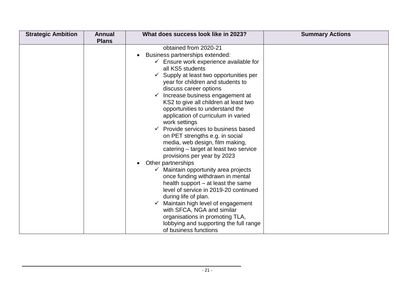| <b>Strategic Ambition</b> | <b>Annual</b><br><b>Plans</b> | What does success look like in 2023?                                                                                                                                                                                                                                                                                                                                                                                                                                                                                                                                                                                                                                                                                                                                                                                                                                                                                                                                                                                           | <b>Summary Actions</b> |
|---------------------------|-------------------------------|--------------------------------------------------------------------------------------------------------------------------------------------------------------------------------------------------------------------------------------------------------------------------------------------------------------------------------------------------------------------------------------------------------------------------------------------------------------------------------------------------------------------------------------------------------------------------------------------------------------------------------------------------------------------------------------------------------------------------------------------------------------------------------------------------------------------------------------------------------------------------------------------------------------------------------------------------------------------------------------------------------------------------------|------------------------|
|                           |                               | obtained from 2020-21<br>Business partnerships extended:<br>$\checkmark$ Ensure work experience available for<br>all KS5 students<br>$\checkmark$ Supply at least two opportunities per<br>year for children and students to<br>discuss career options<br>$\checkmark$ Increase business engagement at<br>KS2 to give all children at least two<br>opportunities to understand the<br>application of curriculum in varied<br>work settings<br>$\checkmark$ Provide services to business based<br>on PET strengths e.g. in social<br>media, web design, film making,<br>catering – target at least two service<br>provisions per year by 2023<br>Other partnerships<br>Maintain opportunity area projects<br>once funding withdrawn in mental<br>health support $-$ at least the same<br>level of service in 2019-20 continued<br>during life of plan.<br>Maintain high level of engagement<br>with SFCA, NGA and similar<br>organisations in promoting TLA,<br>lobbying and supporting the full range<br>of business functions |                        |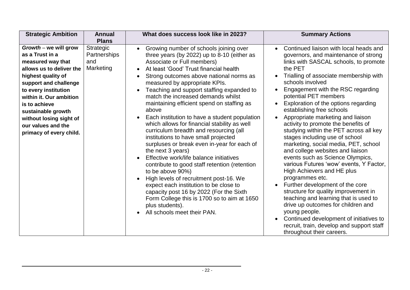| <b>Strategic Ambition</b>                                                                                                                                                                                                                                                                                        | <b>Annual</b><br><b>Plans</b>                 | What does success look like in 2023?                                                                                                                                                                                                                                                                                                                                                                                                                                                                                                                                                                                                                                                                                                                                                                                                                                                                                                                                                       | <b>Summary Actions</b>                                                                                                                                                                                                                                                                                                                                                                                                                                                                                                                                                                                                                                                                                                                                                                                                                                                                                                                                                                                  |
|------------------------------------------------------------------------------------------------------------------------------------------------------------------------------------------------------------------------------------------------------------------------------------------------------------------|-----------------------------------------------|--------------------------------------------------------------------------------------------------------------------------------------------------------------------------------------------------------------------------------------------------------------------------------------------------------------------------------------------------------------------------------------------------------------------------------------------------------------------------------------------------------------------------------------------------------------------------------------------------------------------------------------------------------------------------------------------------------------------------------------------------------------------------------------------------------------------------------------------------------------------------------------------------------------------------------------------------------------------------------------------|---------------------------------------------------------------------------------------------------------------------------------------------------------------------------------------------------------------------------------------------------------------------------------------------------------------------------------------------------------------------------------------------------------------------------------------------------------------------------------------------------------------------------------------------------------------------------------------------------------------------------------------------------------------------------------------------------------------------------------------------------------------------------------------------------------------------------------------------------------------------------------------------------------------------------------------------------------------------------------------------------------|
| $Growth - we will grow$<br>as a Trust in a<br>measured way that<br>allows us to deliver the<br>highest quality of<br>support and challenge<br>to every institution<br>within it. Our ambition<br>is to achieve<br>sustainable growth<br>without losing sight of<br>our values and the<br>primacy of every child. | Strategic<br>Partnerships<br>and<br>Marketing | Growing number of schools joining over<br>three years (by 2022) up to 8-10 (either as<br>Associate or Full members)<br>At least 'Good' Trust financial health<br>Strong outcomes above national norms as<br>measured by appropriate KPIs.<br>Teaching and support staffing expanded to<br>match the increased demands whilst<br>maintaining efficient spend on staffing as<br>above<br>Each institution to have a student population<br>which allows for financial stability as well<br>curriculum breadth and resourcing (all<br>institutions to have small projected<br>surpluses or break even in-year for each of<br>the next 3 years)<br>Effective work/life balance initiatives<br>contribute to good staff retention (retention<br>to be above 90%)<br>High levels of recruitment post-16. We<br>expect each institution to be close to<br>capacity post 16 by 2022 (For the Sixth<br>Form College this is 1700 so to aim at 1650<br>plus students).<br>All schools meet their PAN. | Continued liaison with local heads and<br>governors, and maintenance of strong<br>links with SASCAL schools, to promote<br>the PET<br>Trialling of associate membership with<br>schools involved<br>Engagement with the RSC regarding<br>potential PET members<br>Exploration of the options regarding<br>establishing free schools<br>Appropriate marketing and liaison<br>activity to promote the benefits of<br>studying within the PET across all key<br>stages including use of school<br>marketing, social media, PET, school<br>and college websites and liaison<br>events such as Science Olympics,<br>various Futures 'wow' events, Y Factor,<br>High Achievers and HE plus<br>programmes etc.<br>Further development of the core<br>structure for quality improvement in<br>teaching and learning that is used to<br>drive up outcomes for children and<br>young people.<br>Continued development of initiatives to<br>recruit, train, develop and support staff<br>throughout their careers. |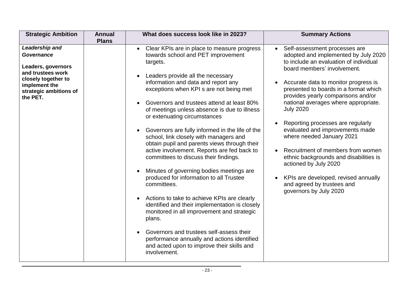| <b>Strategic Ambition</b>                                                                                                                             | <b>Annual</b><br><b>Plans</b> | What does success look like in 2023?                                                                                                                                                                                                                                                                                                                                                                                                                                                                                                                                                                                                                                                                                                                                                                                                                                                                                                                                                                                         | <b>Summary Actions</b>                                                                                                                                                                                                                                                                                                                                                                                                                                                                                                                                                                                                                         |
|-------------------------------------------------------------------------------------------------------------------------------------------------------|-------------------------------|------------------------------------------------------------------------------------------------------------------------------------------------------------------------------------------------------------------------------------------------------------------------------------------------------------------------------------------------------------------------------------------------------------------------------------------------------------------------------------------------------------------------------------------------------------------------------------------------------------------------------------------------------------------------------------------------------------------------------------------------------------------------------------------------------------------------------------------------------------------------------------------------------------------------------------------------------------------------------------------------------------------------------|------------------------------------------------------------------------------------------------------------------------------------------------------------------------------------------------------------------------------------------------------------------------------------------------------------------------------------------------------------------------------------------------------------------------------------------------------------------------------------------------------------------------------------------------------------------------------------------------------------------------------------------------|
| Leadership and<br>Governance<br>Leaders, governors<br>and trustees work<br>closely together to<br>implement the<br>strategic ambitions of<br>the PET. |                               | Clear KPIs are in place to measure progress<br>$\bullet$<br>towards school and PET improvement<br>targets.<br>Leaders provide all the necessary<br>information and data and report any<br>exceptions when KPI s are not being met<br>Governors and trustees attend at least 80%<br>of meetings unless absence is due to illness<br>or extenuating circumstances<br>Governors are fully informed in the life of the<br>school, link closely with managers and<br>obtain pupil and parents views through their<br>active involvement. Reports are fed back to<br>committees to discuss their findings.<br>Minutes of governing bodies meetings are<br>produced for information to all Trustee<br>committees.<br>Actions to take to achieve KPIs are clearly<br>identified and their implementation is closely<br>monitored in all improvement and strategic<br>plans.<br>Governors and trustees self-assess their<br>performance annually and actions identified<br>and acted upon to improve their skills and<br>involvement. | Self-assessment processes are<br>adopted and implemented by July 2020<br>to include an evaluation of individual<br>board members' involvement.<br>Accurate data to monitor progress is<br>presented to boards in a format which<br>provides yearly comparisons and/or<br>national averages where appropriate.<br><b>July 2020</b><br>Reporting processes are regularly<br>evaluated and improvements made<br>where needed January 2021<br>Recruitment of members from women<br>ethnic backgrounds and disabilities is<br>actioned by July 2020<br>KPIs are developed, revised annually<br>and agreed by trustees and<br>governors by July 2020 |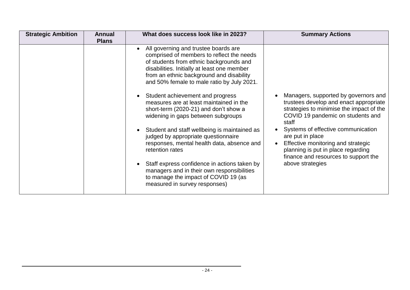| <b>Strategic Ambition</b> | <b>Annual</b><br><b>Plans</b> | What does success look like in 2023?                                                                                                                                                                                                                                  | <b>Summary Actions</b>                                                                                                                                                     |
|---------------------------|-------------------------------|-----------------------------------------------------------------------------------------------------------------------------------------------------------------------------------------------------------------------------------------------------------------------|----------------------------------------------------------------------------------------------------------------------------------------------------------------------------|
|                           |                               | All governing and trustee boards are<br>comprised of members to reflect the needs<br>of students from ethnic backgrounds and<br>disabilities. Initially at least one member<br>from an ethnic background and disability<br>and 50% female to male ratio by July 2021. |                                                                                                                                                                            |
|                           |                               | Student achievement and progress<br>measures are at least maintained in the<br>short-term (2020-21) and don't show a<br>widening in gaps between subgroups                                                                                                            | Managers, supported by governors and<br>trustees develop and enact appropriate<br>strategies to minimise the impact of the<br>COVID 19 pandemic on students and<br>staff   |
|                           |                               | Student and staff wellbeing is maintained as<br>judged by appropriate questionnaire<br>responses, mental health data, absence and<br>retention rates                                                                                                                  | Systems of effective communication<br>are put in place<br>Effective monitoring and strategic<br>planning is put in place regarding<br>finance and resources to support the |
|                           |                               | Staff express confidence in actions taken by<br>managers and in their own responsibilities<br>to manage the impact of COVID 19 (as<br>measured in survey responses)                                                                                                   | above strategies                                                                                                                                                           |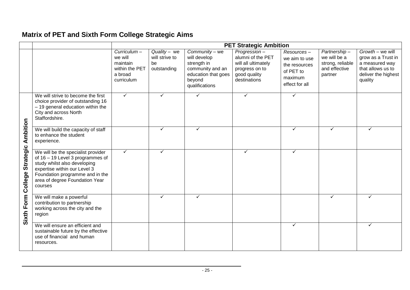# **Matrix of PET and Sixth Form College Strategic Aims**

|                             |                                                                                                                                                                                                                        | <b>PET Strategic Ambition</b>                                                |                                                       |                                                                                                                      |                                                                                                            |                                                                                        |                                                                              |                                                                                                                 |
|-----------------------------|------------------------------------------------------------------------------------------------------------------------------------------------------------------------------------------------------------------------|------------------------------------------------------------------------------|-------------------------------------------------------|----------------------------------------------------------------------------------------------------------------------|------------------------------------------------------------------------------------------------------------|----------------------------------------------------------------------------------------|------------------------------------------------------------------------------|-----------------------------------------------------------------------------------------------------------------|
|                             |                                                                                                                                                                                                                        | Curricular<br>we will<br>maintain<br>within the PET<br>a broad<br>curriculum | $Quality - we$<br>will strive to<br>be<br>outstanding | Community - we<br>will develop<br>strength in<br>community and an<br>education that goes<br>beyond<br>qualifications | Progression-<br>alumni of the PET<br>will all ultimately<br>progress on to<br>good quality<br>destinations | Resources-<br>we aim to use<br>the resources<br>of PET to<br>maximum<br>effect for all | Partnership-<br>we will be a<br>strong, reliable<br>and effective<br>partner | Growth - we will<br>grow as a Trust in<br>a measured way<br>that allows us to<br>deliver the highest<br>quality |
|                             | We will strive to become the first<br>choice provider of outstanding 16<br>- 19 general education within the<br>City and across North<br>Staffordshire.                                                                | $\checkmark$                                                                 | $\checkmark$                                          | ✓                                                                                                                    | $\checkmark$                                                                                               | $\checkmark$                                                                           |                                                                              |                                                                                                                 |
| Ambition                    | We will build the capacity of staff<br>to enhance the student<br>experience.                                                                                                                                           |                                                                              | ✓                                                     | ✓                                                                                                                    |                                                                                                            | $\checkmark$                                                                           | ✓                                                                            | ✓                                                                                                               |
| <b>Strategic</b><br>College | We will be the specialist provider<br>of 16 - 19 Level 3 programmes of<br>study whilst also developing<br>expertise within our Level 3<br>Foundation programme and in the<br>area of degree Foundation Year<br>courses | $\checkmark$                                                                 | ✓                                                     |                                                                                                                      | ✓                                                                                                          | ✓                                                                                      |                                                                              |                                                                                                                 |
| Sixth Form                  | We will make a powerful<br>contribution to partnership<br>working across the city and the<br>region                                                                                                                    |                                                                              |                                                       |                                                                                                                      |                                                                                                            |                                                                                        | ✓                                                                            | ✓                                                                                                               |
|                             | We will ensure an efficient and<br>sustainable future by the effective<br>use of financial and human<br>resources.                                                                                                     |                                                                              |                                                       |                                                                                                                      |                                                                                                            | $\checkmark$                                                                           |                                                                              | ✓                                                                                                               |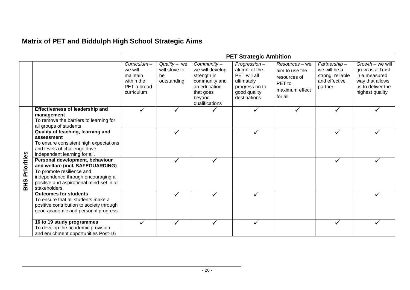# **Matrix of PET and Biddulph High School Strategic Aims**

|                                         |                                                                                                                                                                                                      |                                                                              |                                                     |                                                                                                                        | <b>PET Strategic Ambition</b>                                                                                 |                                                                                         |                                                                              |                                                                                                                 |
|-----------------------------------------|------------------------------------------------------------------------------------------------------------------------------------------------------------------------------------------------------|------------------------------------------------------------------------------|-----------------------------------------------------|------------------------------------------------------------------------------------------------------------------------|---------------------------------------------------------------------------------------------------------------|-----------------------------------------------------------------------------------------|------------------------------------------------------------------------------|-----------------------------------------------------------------------------------------------------------------|
|                                         |                                                                                                                                                                                                      | Curricular<br>we will<br>maintain<br>within the<br>PET a broad<br>curriculum | Quality - we<br>will strive to<br>be<br>outstanding | Community-<br>we will develop<br>strength in<br>community and<br>an education<br>that goes<br>beyond<br>qualifications | Progression-<br>alumni of the<br>PET will all<br>ultimately<br>progress on to<br>good quality<br>destinations | Resources - we<br>aim to use the<br>resources of<br>PET to<br>maximum effect<br>for all | Partnership-<br>we will be a<br>strong, reliable<br>and effective<br>partner | Growth - we will<br>grow as a Trust<br>in a measured<br>way that allows<br>us to deliver the<br>highest quality |
|                                         | <b>Effectiveness of leadership and</b><br>management<br>To remove the barriers to learning for<br>all groups of students                                                                             |                                                                              |                                                     |                                                                                                                        |                                                                                                               |                                                                                         |                                                                              |                                                                                                                 |
|                                         | Quality of teaching, learning and<br>assessment<br>To ensure consistent high expectations<br>and levels of challenge drive<br>independent learning for all.                                          |                                                                              |                                                     |                                                                                                                        |                                                                                                               |                                                                                         |                                                                              |                                                                                                                 |
| riorities<br>$\mathbf{a}$<br><b>BHS</b> | Personal development, behaviour<br>and welfare (incl. SAFEGUARDING)<br>To promote resilience and<br>independence through encouraging a<br>positive and aspirational mind-set in all<br>stakeholders. |                                                                              |                                                     | ✓                                                                                                                      |                                                                                                               |                                                                                         |                                                                              |                                                                                                                 |
|                                         | <b>Outcomes for students</b><br>To ensure that all students make a<br>positive contribution to society through<br>good academic and personal progress.                                               |                                                                              | $\checkmark$                                        | $\checkmark$                                                                                                           | ✓                                                                                                             |                                                                                         |                                                                              |                                                                                                                 |
|                                         | 16 to 19 study programmes<br>To develop the academic provision<br>and enrichment opportunities Post-16                                                                                               |                                                                              |                                                     |                                                                                                                        |                                                                                                               |                                                                                         |                                                                              |                                                                                                                 |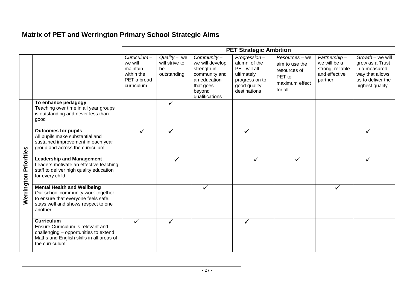# **Matrix of PET and Werrington Primary School Strategic Aims**

|            |                                                                                                                                                                    |                                                                                 | <b>PET Strategic Ambition</b>                       |                                                                                                                        |                                                                                                               |                                                                                         |                                                                              |                                                                                                                 |
|------------|--------------------------------------------------------------------------------------------------------------------------------------------------------------------|---------------------------------------------------------------------------------|-----------------------------------------------------|------------------------------------------------------------------------------------------------------------------------|---------------------------------------------------------------------------------------------------------------|-----------------------------------------------------------------------------------------|------------------------------------------------------------------------------|-----------------------------------------------------------------------------------------------------------------|
|            |                                                                                                                                                                    | $Curricular-$<br>we will<br>maintain<br>within the<br>PET a broad<br>curriculum | Quality - we<br>will strive to<br>be<br>outstanding | Community-<br>we will develop<br>strength in<br>community and<br>an education<br>that goes<br>beyond<br>qualifications | Progression-<br>alumni of the<br>PET will all<br>ultimately<br>progress on to<br>good quality<br>destinations | Resources - we<br>aim to use the<br>resources of<br>PET to<br>maximum effect<br>for all | Partnership-<br>we will be a<br>strong, reliable<br>and effective<br>partner | Growth - we will<br>grow as a Trust<br>in a measured<br>way that allows<br>us to deliver the<br>highest quality |
|            | To enhance pedagogy<br>Teaching over time in all year groups<br>is outstanding and never less than<br>good                                                         |                                                                                 | $\checkmark$                                        |                                                                                                                        |                                                                                                               |                                                                                         |                                                                              |                                                                                                                 |
|            | <b>Outcomes for pupils</b><br>All pupils make substantial and<br>sustained improvement in each year<br>group and across the curriculum                             |                                                                                 |                                                     |                                                                                                                        |                                                                                                               |                                                                                         |                                                                              |                                                                                                                 |
| Priorities | <b>Leadership and Management</b><br>Leaders motivate an effective teaching<br>staff to deliver high quality education<br>for every child                           |                                                                                 |                                                     |                                                                                                                        |                                                                                                               |                                                                                         |                                                                              |                                                                                                                 |
| Werrington | <b>Mental Health and Wellbeing</b><br>Our school community work together<br>to ensure that everyone feels safe,<br>stays well and shows respect to one<br>another. |                                                                                 |                                                     |                                                                                                                        |                                                                                                               |                                                                                         | ✓                                                                            |                                                                                                                 |
|            | <b>Curriculum</b><br>Ensure Curriculum is relevant and<br>challenging - opportunities to extend<br>Maths and English skills in all areas of<br>the curriculum      | $\checkmark$                                                                    | $\checkmark$                                        |                                                                                                                        |                                                                                                               |                                                                                         |                                                                              |                                                                                                                 |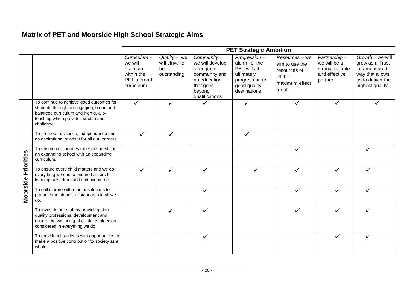# **Matrix of PET and Moorside High School Strategic Aims**

|                   |                                                                                                                                                                                  |                                                                              |                                                       |                                                                                                                        | <b>PET Strategic Ambition</b>                                                                                 |                                                                                         |                                                                              |                                                                                                                 |
|-------------------|----------------------------------------------------------------------------------------------------------------------------------------------------------------------------------|------------------------------------------------------------------------------|-------------------------------------------------------|------------------------------------------------------------------------------------------------------------------------|---------------------------------------------------------------------------------------------------------------|-----------------------------------------------------------------------------------------|------------------------------------------------------------------------------|-----------------------------------------------------------------------------------------------------------------|
|                   |                                                                                                                                                                                  | Curricular<br>we will<br>maintain<br>within the<br>PET a broad<br>curriculum | $Quality - we$<br>will strive to<br>be<br>outstanding | Community-<br>we will develop<br>strength in<br>community and<br>an education<br>that goes<br>beyond<br>qualifications | Progression-<br>alumni of the<br>PET will all<br>ultimately<br>progress on to<br>good quality<br>destinations | Resources - we<br>aim to use the<br>resources of<br>PET to<br>maximum effect<br>for all | Partnership-<br>we will be a<br>strong, reliable<br>and effective<br>partner | Growth - we will<br>grow as a Trust<br>in a measured<br>way that allows<br>us to deliver the<br>highest quality |
|                   | To continue to achieve good outcomes for<br>students through an engaging, broad and<br>balanced curriculum and high quality<br>teaching which provides stretch and<br>challenge. | $\checkmark$                                                                 | ✓                                                     |                                                                                                                        | ✓                                                                                                             |                                                                                         | ✓                                                                            |                                                                                                                 |
|                   | To promote resilience, independence and<br>an aspirational mindset for all our learners.                                                                                         | ✓                                                                            | ✓                                                     |                                                                                                                        | ✓                                                                                                             |                                                                                         |                                                                              |                                                                                                                 |
| <b>Priorities</b> | To ensure our facilities meet the needs of<br>an expanding school with an expanding<br>curriculum.                                                                               |                                                                              |                                                       |                                                                                                                        |                                                                                                               |                                                                                         |                                                                              |                                                                                                                 |
|                   | To ensure every child matters and we do<br>everything we can to ensure barriers to<br>learning are addressed and overcome.                                                       | ✓                                                                            |                                                       |                                                                                                                        |                                                                                                               |                                                                                         |                                                                              |                                                                                                                 |
| Moorside          | To collaborate with other institutions to<br>promote the highest of standards in all we<br>do.                                                                                   |                                                                              |                                                       |                                                                                                                        |                                                                                                               | ✓                                                                                       | ✓                                                                            |                                                                                                                 |
|                   | To invest in our staff by providing high<br>quality professional development and<br>ensure the wellbeing of all stakeholders is<br>considered in everything we do.               |                                                                              |                                                       |                                                                                                                        |                                                                                                               | ✓                                                                                       | ✓                                                                            |                                                                                                                 |
|                   | To provide all students with opportunities to<br>make a positive contribution to society as a<br>whole.                                                                          |                                                                              |                                                       |                                                                                                                        |                                                                                                               |                                                                                         |                                                                              |                                                                                                                 |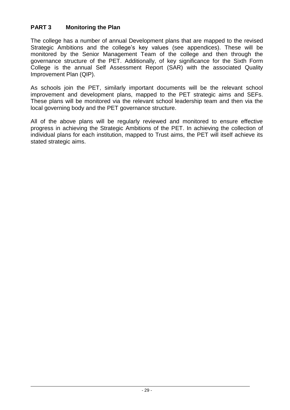# **PART 3 Monitoring the Plan**

The college has a number of annual Development plans that are mapped to the revised Strategic Ambitions and the college's key values (see appendices). These will be monitored by the Senior Management Team of the college and then through the governance structure of the PET. Additionally, of key significance for the Sixth Form College is the annual Self Assessment Report (SAR) with the associated Quality Improvement Plan (QIP).

As schools join the PET, similarly important documents will be the relevant school improvement and development plans, mapped to the PET strategic aims and SEFs. These plans will be monitored via the relevant school leadership team and then via the local governing body and the PET governance structure.

All of the above plans will be regularly reviewed and monitored to ensure effective progress in achieving the Strategic Ambitions of the PET. In achieving the collection of individual plans for each institution, mapped to Trust aims, the PET will itself achieve its stated strategic aims.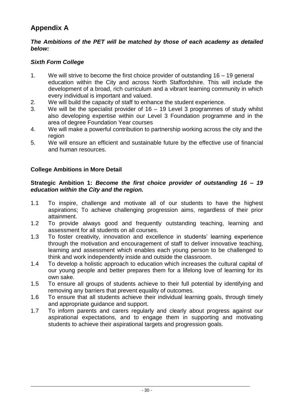# **Appendix A**

## *The Ambitions of the PET will be matched by those of each academy as detailed below:*

# *Sixth Form College*

- 1. We will strive to become the first choice provider of outstanding 16 19 general education within the City and across North Staffordshire. This will include the development of a broad, rich curriculum and a vibrant learning community in which every individual is important and valued.
- 2. We will build the capacity of staff to enhance the student experience.
- 3. We will be the specialist provider of 16 19 Level 3 programmes of study whilst also developing expertise within our Level 3 Foundation programme and in the area of degree Foundation Year courses
- 4. We will make a powerful contribution to partnership working across the city and the region
- 5. We will ensure an efficient and sustainable future by the effective use of financial and human resources.

## **College Ambitions in More Detail**

## **Strategic Ambition 1:** *Become the first choice provider of outstanding 16 – 19 education within the City and the region.*

- 1.1 To inspire, challenge and motivate all of our students to have the highest aspirations; To achieve challenging progression aims, regardless of their prior attainment.
- 1.2 To provide always good and frequently outstanding teaching, learning and assessment for all students on all courses.
- 1.3 To foster creativity, innovation and excellence in students' learning experience through the motivation and encouragement of staff to deliver innovative teaching, learning and assessment which enables each young person to be challenged to think and work independently inside and outside the classroom.
- 1.4 To develop a holistic approach to education which increases the cultural capital of our young people and better prepares them for a lifelong love of learning for its own sake.
- 1.5 To ensure all groups of students achieve to their full potential by identifying and removing any barriers that prevent equality of outcomes.
- 1.6 To ensure that all students achieve their individual learning goals, through timely and appropriate guidance and support.
- 1.7 To inform parents and carers regularly and clearly about progress against our aspirational expectations, and to engage them in supporting and motivating students to achieve their aspirational targets and progression goals.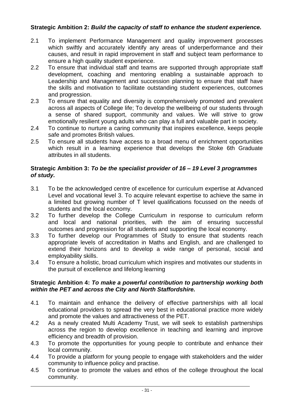## **Strategic Ambition 2:** *Build the capacity of staff to enhance the student experience.*

- 2.1 To implement Performance Management and quality improvement processes which swiftly and accurately identify any areas of underperformance and their causes, and result in rapid improvement in staff and subject team performance to ensure a high quality student experience.
- 2.2 To ensure that individual staff and teams are supported through appropriate staff development, coaching and mentoring enabling a sustainable approach to Leadership and Management and succession planning to ensure that staff have the skills and motivation to facilitate outstanding student experiences, outcomes and progression.
- 2.3 To ensure that equality and diversity is comprehensively promoted and prevalent across all aspects of College life; To develop the wellbeing of our students through a sense of shared support, community and values. We will strive to grow emotionally resilient young adults who can play a full and valuable part in society.
- 2.4 To continue to nurture a caring community that inspires excellence, keeps people safe and promotes British values.
- 2.5 To ensure all students have access to a broad menu of enrichment opportunities which result in a learning experience that develops the Stoke 6th Graduate attributes in all students.

### **Strategic Ambition 3:** *To be the specialist provider of 16 – 19 Level 3 programmes of study.*

- 3.1 To be the acknowledged centre of excellence for curriculum expertise at Advanced Level and vocational level 3. To acquire relevant expertise to achieve the same in a limited but growing number of T level qualifications focussed on the needs of students and the local economy.
- 3.2 To further develop the College Curriculum in response to curriculum reform and local and national priorities, with the aim of ensuring successful outcomes and progression for all students and supporting the local economy.
- 3.3 To further develop our Programmes of Study to ensure that students reach appropriate levels of accreditation in Maths and English, and are challenged to extend their horizons and to develop a wide range of personal, social and employability skills.
- 3.4 To ensure a holistic, broad curriculum which inspires and motivates our students in the pursuit of excellence and lifelong learning

#### **Strategic Ambition 4:** *To make a powerful contribution to partnership working both within the PET and across the City and North Staffordshire.*

- 4.1 To maintain and enhance the delivery of effective partnerships with all local educational providers to spread the very best in educational practice more widely and promote the values and attractiveness of the PET.
- 4.2 As a newly created Multi Academy Trust, we will seek to establish partnerships across the region to develop excellence in teaching and learning and improve efficiency and breadth of provision.
- 4.3 To promote the opportunities for young people to contribute and enhance their local community.
- 4.4 To provide a platform for young people to engage with stakeholders and the wider community to influence policy and practise.
- 4.5 To continue to promote the values and ethos of the college throughout the local community.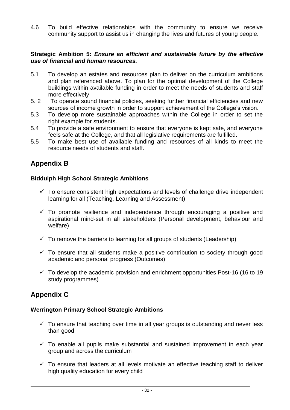4.6 To build effective relationships with the community to ensure we receive community support to assist us in changing the lives and futures of young people.

#### **Strategic Ambition 5:** *Ensure an efficient and sustainable future by the effective use of financial and human resources.*

- 5.1 To develop an estates and resources plan to deliver on the curriculum ambitions and plan referenced above. To plan for the optimal development of the College buildings within available funding in order to meet the needs of students and staff more effectively
- 5. 2 To operate sound financial policies, seeking further financial efficiencies and new sources of income growth in order to support achievement of the College's vision.
- 5.3 To develop more sustainable approaches within the College in order to set the right example for students.
- 5.4 To provide a safe environment to ensure that everyone is kept safe, and everyone feels safe at the College, and that all legislative requirements are fulfilled.
- 5.5 To make best use of available funding and resources of all kinds to meet the resource needs of students and staff.

# **Appendix B**

## **Biddulph High School Strategic Ambitions**

- $\checkmark$  To ensure consistent high expectations and levels of challenge drive independent learning for all (Teaching, Learning and Assessment)
- $\checkmark$  To promote resilience and independence through encouraging a positive and aspirational mind-set in all stakeholders (Personal development, behaviour and welfare)
- $\checkmark$  To remove the barriers to learning for all groups of students (Leadership)
- $\checkmark$  To ensure that all students make a positive contribution to society through good academic and personal progress (Outcomes)
- $\checkmark$  To develop the academic provision and enrichment opportunities Post-16 (16 to 19) study programmes)

# **Appendix C**

## **Werrington Primary School Strategic Ambitions**

- $\checkmark$  To ensure that teaching over time in all year groups is outstanding and never less than good
- $\checkmark$  To enable all pupils make substantial and sustained improvement in each year group and across the curriculum
- $\checkmark$  To ensure that leaders at all levels motivate an effective teaching staff to deliver high quality education for every child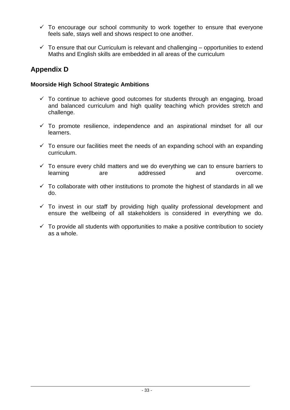- $\checkmark$  To encourage our school community to work together to ensure that everyone feels safe, stays well and shows respect to one another.
- $\checkmark$  To ensure that our Curriculum is relevant and challenging opportunities to extend Maths and English skills are embedded in all areas of the curriculum

# **Appendix D**

## **Moorside High School Strategic Ambitions**

- $\checkmark$  To continue to achieve good outcomes for students through an engaging, broad and balanced curriculum and high quality teaching which provides stretch and challenge.
- $\checkmark$  To promote resilience, independence and an aspirational mindset for all our learners.
- $\checkmark$  To ensure our facilities meet the needs of an expanding school with an expanding curriculum.
- $\checkmark$  To ensure every child matters and we do everything we can to ensure barriers to learning are addressed and overcome.
- $\checkmark$  To collaborate with other institutions to promote the highest of standards in all we do.
- $\checkmark$  To invest in our staff by providing high quality professional development and ensure the wellbeing of all stakeholders is considered in everything we do.
- $\checkmark$  To provide all students with opportunities to make a positive contribution to society as a whole.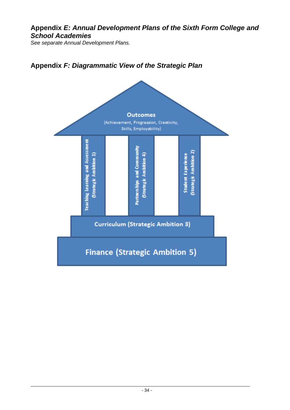# **Appendix** *E: Annual Development Plans of the Sixth Form College and School Academies*

*See separate Annual Development Plans.*



# **Appendix** *F: Diagrammatic View of the Strategic Plan*